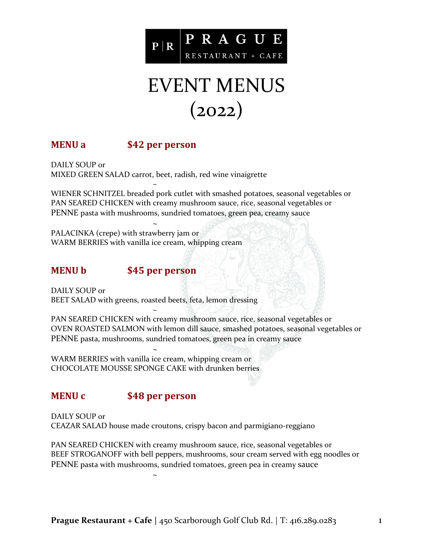

# EVENT MENUS  $(2022)$

## **MENU a \$42 per person**

DAILY SOUP or MIXED GREEN SALAD carrot, beet, radish, red wine vinaigrette

~ WIENER SCHNITZEL breaded pork cutlet with smashed potatoes, seasonal vegetables or PAN SEARED CHICKEN with creamy mushroom sauce, rice, seasonal vegetables or PENNE pasta with mushrooms, sundried tomatoes, green pea, creamy sauce

~ PALACINKA (crepe) with strawberry jam or WARM BERRIES with vanilla ice cream, whipping cream

### **MENU b \$45 per person**

DAILY SOUP or BEET SALAD with greens, roasted beets, feta, lemon dressing

~ PAN SEARED CHICKEN with creamy mushroom sauce, rice, seasonal vegetables or OVEN ROASTED SALMON with lemon dill sauce, smashed potatoes, seasonal vegetables or PENNE pasta, mushrooms, sundried tomatoes, green pea in creamy sauce

~ WARM BERRIES with vanilla ice cream, whipping cream or CHOCOLATE MOUSSE SPONGE CAKE with drunken berries

~

### **MENU c \$48 per person**

DAILY SOUP or CEAZAR SALAD house made croutons, crispy bacon and parmigiano-reggiano

PAN SEARED CHICKEN with creamy mushroom sauce, rice, seasonal vegetables or BEEF STROGANOFF with bell peppers, mushrooms, sour cream served with egg noodles or PENNE pasta with mushrooms, sundried tomatoes, green pea in creamy sauce